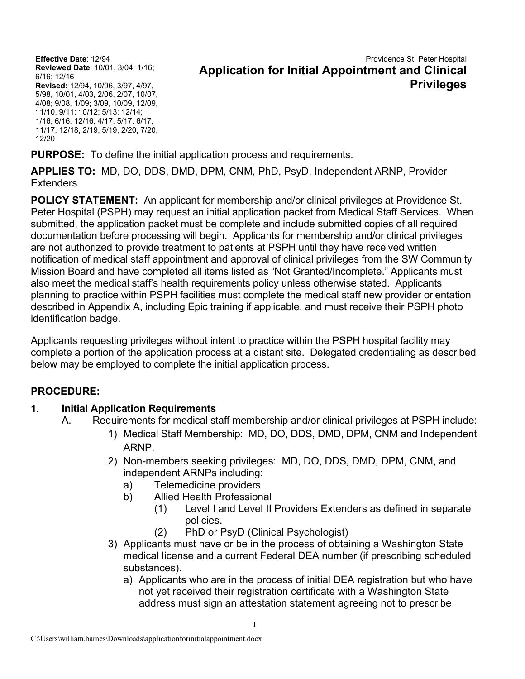**Effective Date**: 12/94 **Reviewed Date**: 10/01, 3/04; 1/16; 6/16; 12/16 **Revised:** 12/94, 10/96, 3/97, 4/97, 5/98, 10/01, 4/03, 2/06, 2/07, 10/07, 4/08; 9/08, 1/09; 3/09, 10/09, 12/09, 11/10, 9/11; 10/12; 5/13; 12/14; 1/16; 6/16; 12/16; 4/17; 5/17; 6/17; 11/17; 12/18; 2/19; 5/19; 2/20; 7/20; 12/20

### Providence St. Peter Hospital **Application for Initial Appointment and Clinical Privileges**

**PURPOSE:** To define the initial application process and requirements.

**APPLIES TO:** MD, DO, DDS, DMD, DPM, CNM, PhD, PsyD, Independent ARNP, Provider **Extenders** 

**POLICY STATEMENT:** An applicant for membership and/or clinical privileges at Providence St. Peter Hospital (PSPH) may request an initial application packet from Medical Staff Services. When submitted, the application packet must be complete and include submitted copies of all required documentation before processing will begin. Applicants for membership and/or clinical privileges are not authorized to provide treatment to patients at PSPH until they have received written notification of medical staff appointment and approval of clinical privileges from the SW Community Mission Board and have completed all items listed as "Not Granted/Incomplete." Applicants must also meet the medical staff's health requirements policy unless otherwise stated. Applicants planning to practice within PSPH facilities must complete the medical staff new provider orientation described in Appendix A, including Epic training if applicable, and must receive their PSPH photo identification badge.

Applicants requesting privileges without intent to practice within the PSPH hospital facility may complete a portion of the application process at a distant site. Delegated credentialing as described below may be employed to complete the initial application process.

### **PROCEDURE:**

### **1. Initial Application Requirements**

- A. Requirements for medical staff membership and/or clinical privileges at PSPH include:
	- 1) Medical Staff Membership: MD, DO, DDS, DMD, DPM, CNM and Independent ARNP.
	- 2) Non-members seeking privileges: MD, DO, DDS, DMD, DPM, CNM, and independent ARNPs including:
		- a) Telemedicine providers
		- b) Allied Health Professional
			- (1) Level I and Level II Providers Extenders as defined in separate policies.
			- (2) PhD or PsyD (Clinical Psychologist)
	- 3) Applicants must have or be in the process of obtaining a Washington State medical license and a current Federal DEA number (if prescribing scheduled substances).
		- a) Applicants who are in the process of initial DEA registration but who have not yet received their registration certificate with a Washington State address must sign an attestation statement agreeing not to prescribe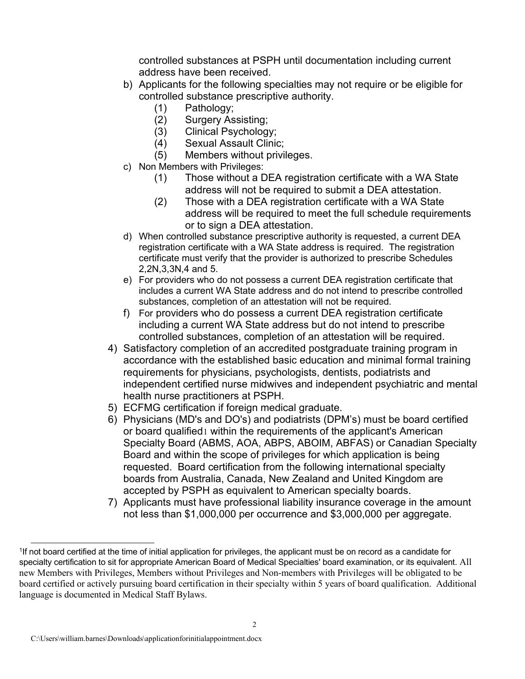controlled substances at PSPH until documentation including current address have been received.

- b) Applicants for the following specialties may not require or be eligible for controlled substance prescriptive authority.
	- (1) Pathology;
	- (2) Surgery Assisting;
	- Clinical Psychology;
	- (4) Sexual Assault Clinic;
	- (5) Members without privileges.
- c) Non Members with Privileges:
	- (1) Those without a DEA registration certificate with a WA State address will not be required to submit a DEA attestation.
	- (2) Those with a DEA registration certificate with a WA State address will be required to meet the full schedule requirements or to sign a DEA attestation.
- d) When controlled substance prescriptive authority is requested, a current DEA registration certificate with a WA State address is required. The registration certificate must verify that the provider is authorized to prescribe Schedules 2,2N,3,3N,4 and 5.
- e) For providers who do not possess a current DEA registration certificate that includes a current WA State address and do not intend to prescribe controlled substances, completion of an attestation will not be required.
- f) For providers who do possess a current DEA registration certificate including a current WA State address but do not intend to prescribe controlled substances, completion of an attestation will be required.
- 4) Satisfactory completion of an accredited postgraduate training program in accordance with the established basic education and minimal formal training requirements for physicians, psychologists, dentists, podiatrists and independent certified nurse midwives and independent psychiatric and mental health nurse practitioners at PSPH.
- 5) ECFMG certification if foreign medical graduate.
- 6) Physicians (MD's and DO's) and podiatrists (DPM's) must be board certified or board qualified[1](#page-1-0) within the requirements of the applicant's American Specialty Board (ABMS, AOA, ABPS, ABOIM, ABFAS) or Canadian Specialty Board and within the scope of privileges for which application is being requested. Board certification from the following international specialty boards from Australia, Canada, New Zealand and United Kingdom are accepted by PSPH as equivalent to American specialty boards.
- 7) Applicants must have professional liability insurance coverage in the amount not less than \$1,000,000 per occurrence and \$3,000,000 per aggregate.

<span id="page-1-0"></span><sup>1</sup>If not board certified at the time of initial application for privileges, the applicant must be on record as a candidate for specialty certification to sit for appropriate American Board of Medical Specialties' board examination, or its equivalent. All new Members with Privileges, Members without Privileges and Non-members with Privileges will be obligated to be board certified or actively pursuing board certification in their specialty within 5 years of board qualification. Additional language is documented in Medical Staff Bylaws.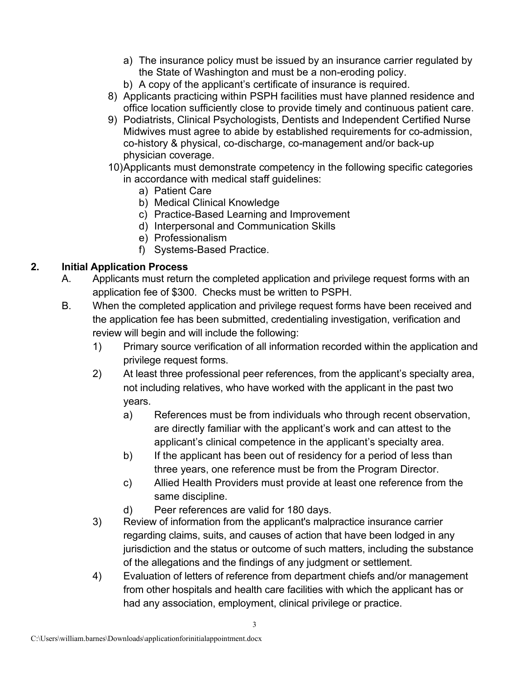- a) The insurance policy must be issued by an insurance carrier regulated by the State of Washington and must be a non-eroding policy.
- b) A copy of the applicant's certificate of insurance is required.
- 8) Applicants practicing within PSPH facilities must have planned residence and office location sufficiently close to provide timely and continuous patient care.
- 9) Podiatrists, Clinical Psychologists, Dentists and Independent Certified Nurse Midwives must agree to abide by established requirements for co-admission, co-history & physical, co-discharge, co-management and/or back-up physician coverage.
- 10)Applicants must demonstrate competency in the following specific categories in accordance with medical staff guidelines:
	- a) Patient Care
	- b) Medical Clinical Knowledge
	- c) Practice-Based Learning and Improvement
	- d) Interpersonal and Communication Skills
	- e) Professionalism
	- f) Systems-Based Practice.

## **2. Initial Application Process**

- A. Applicants must return the completed application and privilege request forms with an application fee of \$300. Checks must be written to PSPH.
- B. When the completed application and privilege request forms have been received and the application fee has been submitted, credentialing investigation, verification and review will begin and will include the following:
	- 1) Primary source verification of all information recorded within the application and privilege request forms.
	- 2) At least three professional peer references, from the applicant's specialty area, not including relatives, who have worked with the applicant in the past two years.
		- a) References must be from individuals who through recent observation, are directly familiar with the applicant's work and can attest to the applicant's clinical competence in the applicant's specialty area.
		- b) If the applicant has been out of residency for a period of less than three years, one reference must be from the Program Director.
		- c) Allied Health Providers must provide at least one reference from the same discipline.
		- d) Peer references are valid for 180 days.
	- 3) Review of information from the applicant's malpractice insurance carrier regarding claims, suits, and causes of action that have been lodged in any jurisdiction and the status or outcome of such matters, including the substance of the allegations and the findings of any judgment or settlement.
	- 4) Evaluation of letters of reference from department chiefs and/or management from other hospitals and health care facilities with which the applicant has or had any association, employment, clinical privilege or practice.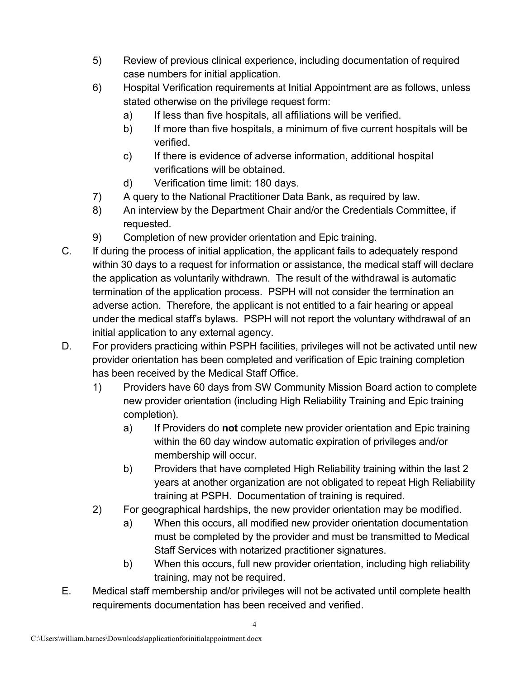- 5) Review of previous clinical experience, including documentation of required case numbers for initial application.
- 6) Hospital Verification requirements at Initial Appointment are as follows, unless stated otherwise on the privilege request form:
	- a) If less than five hospitals, all affiliations will be verified.
	- b) If more than five hospitals, a minimum of five current hospitals will be verified.
	- c) If there is evidence of adverse information, additional hospital verifications will be obtained.
	- d) Verification time limit: 180 days.
- 7) A query to the National Practitioner Data Bank, as required by law.
- 8) An interview by the Department Chair and/or the Credentials Committee, if requested.
- 9) Completion of new provider orientation and Epic training.
- C. If during the process of initial application, the applicant fails to adequately respond within 30 days to a request for information or assistance, the medical staff will declare the application as voluntarily withdrawn. The result of the withdrawal is automatic termination of the application process. PSPH will not consider the termination an adverse action. Therefore, the applicant is not entitled to a fair hearing or appeal under the medical staff's bylaws. PSPH will not report the voluntary withdrawal of an initial application to any external agency.
- D. For providers practicing within PSPH facilities, privileges will not be activated until new provider orientation has been completed and verification of Epic training completion has been received by the Medical Staff Office.
	- 1) Providers have 60 days from SW Community Mission Board action to complete new provider orientation (including High Reliability Training and Epic training completion).
		- a) If Providers do **not** complete new provider orientation and Epic training within the 60 day window automatic expiration of privileges and/or membership will occur.
		- b) Providers that have completed High Reliability training within the last 2 years at another organization are not obligated to repeat High Reliability training at PSPH. Documentation of training is required.
	- 2) For geographical hardships, the new provider orientation may be modified.
		- a) When this occurs, all modified new provider orientation documentation must be completed by the provider and must be transmitted to Medical Staff Services with notarized practitioner signatures.
		- b) When this occurs, full new provider orientation, including high reliability training, may not be required.
- E. Medical staff membership and/or privileges will not be activated until complete health requirements documentation has been received and verified.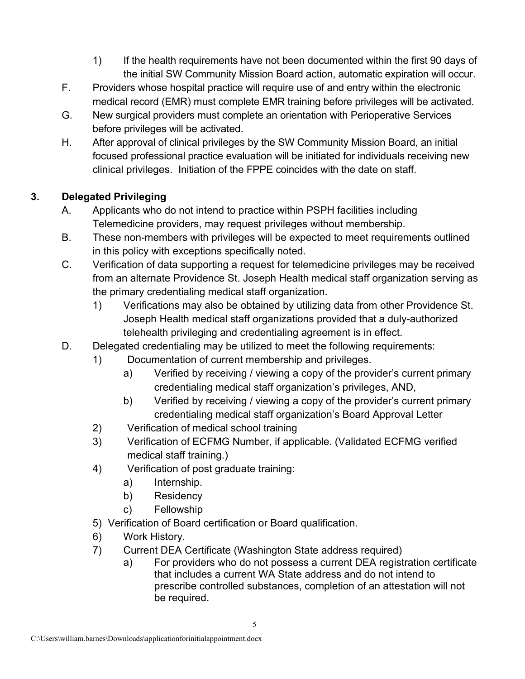- 1) If the health requirements have not been documented within the first 90 days of the initial SW Community Mission Board action, automatic expiration will occur.
- F. Providers whose hospital practice will require use of and entry within the electronic medical record (EMR) must complete EMR training before privileges will be activated.
- G. New surgical providers must complete an orientation with Perioperative Services before privileges will be activated.
- H. After approval of clinical privileges by the SW Community Mission Board, an initial focused professional practice evaluation will be initiated for individuals receiving new clinical privileges. Initiation of the FPPE coincides with the date on staff.

## **3. Delegated Privileging**

- A. Applicants who do not intend to practice within PSPH facilities including Telemedicine providers, may request privileges without membership.
- B. These non-members with privileges will be expected to meet requirements outlined in this policy with exceptions specifically noted.
- C. Verification of data supporting a request for telemedicine privileges may be received from an alternate Providence St. Joseph Health medical staff organization serving as the primary credentialing medical staff organization.
	- 1) Verifications may also be obtained by utilizing data from other Providence St. Joseph Health medical staff organizations provided that a duly-authorized telehealth privileging and credentialing agreement is in effect.
- D. Delegated credentialing may be utilized to meet the following requirements:
	- 1) Documentation of current membership and privileges.
		- a) Verified by receiving / viewing a copy of the provider's current primary credentialing medical staff organization's privileges, AND,
		- b) Verified by receiving / viewing a copy of the provider's current primary credentialing medical staff organization's Board Approval Letter
	- 2) Verification of medical school training
	- 3) Verification of ECFMG Number, if applicable. (Validated ECFMG verified medical staff training.)
	- 4) Verification of post graduate training:
		- a) Internship.
		- b) Residency
		- c) Fellowship
	- 5) Verification of Board certification or Board qualification.
	- 6) Work History.
	- 7) Current DEA Certificate (Washington State address required)
		- a) For providers who do not possess a current DEA registration certificate that includes a current WA State address and do not intend to prescribe controlled substances, completion of an attestation will not be required.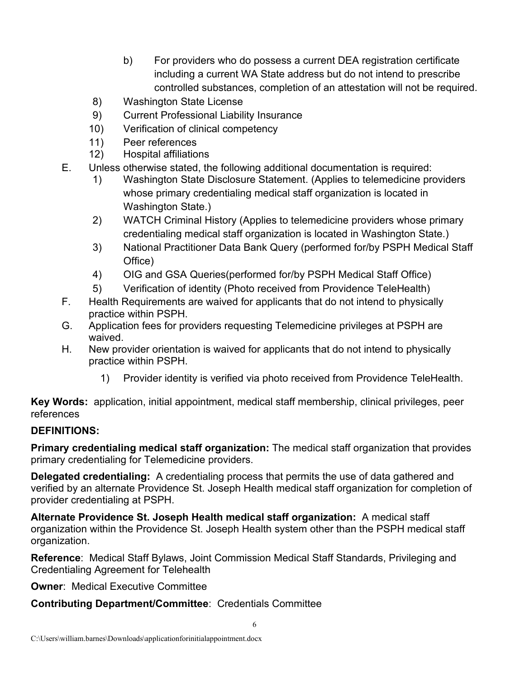- b) For providers who do possess a current DEA registration certificate including a current WA State address but do not intend to prescribe controlled substances, completion of an attestation will not be required.
- 8) Washington State License
- 9) Current Professional Liability Insurance
- 10) Verification of clinical competency
- 11) Peer references
- 12) Hospital affiliations
- E. Unless otherwise stated, the following additional documentation is required:
	- 1) Washington State Disclosure Statement. (Applies to telemedicine providers whose primary credentialing medical staff organization is located in Washington State.)
	- 2) WATCH Criminal History (Applies to telemedicine providers whose primary credentialing medical staff organization is located in Washington State.)
	- 3) National Practitioner Data Bank Query (performed for/by PSPH Medical Staff Office)
	- 4) OIG and GSA Queries(performed for/by PSPH Medical Staff Office)
	- 5) Verification of identity (Photo received from Providence TeleHealth)
- F. Health Requirements are waived for applicants that do not intend to physically practice within PSPH.
- G. Application fees for providers requesting Telemedicine privileges at PSPH are waived.
- H. New provider orientation is waived for applicants that do not intend to physically practice within PSPH.
	- 1) Provider identity is verified via photo received from Providence TeleHealth.

**Key Words:** application, initial appointment, medical staff membership, clinical privileges, peer references

# **DEFINITIONS:**

**Primary credentialing medical staff organization:** The medical staff organization that provides primary credentialing for Telemedicine providers.

**Delegated credentialing:** A credentialing process that permits the use of data gathered and verified by an alternate Providence St. Joseph Health medical staff organization for completion of provider credentialing at PSPH.

**Alternate Providence St. Joseph Health medical staff organization:** A medical staff organization within the Providence St. Joseph Health system other than the PSPH medical staff organization.

**Reference**: Medical Staff Bylaws, Joint Commission Medical Staff Standards, Privileging and Credentialing Agreement for Telehealth

**Owner**: Medical Executive Committee

# **Contributing Department/Committee**: Credentials Committee